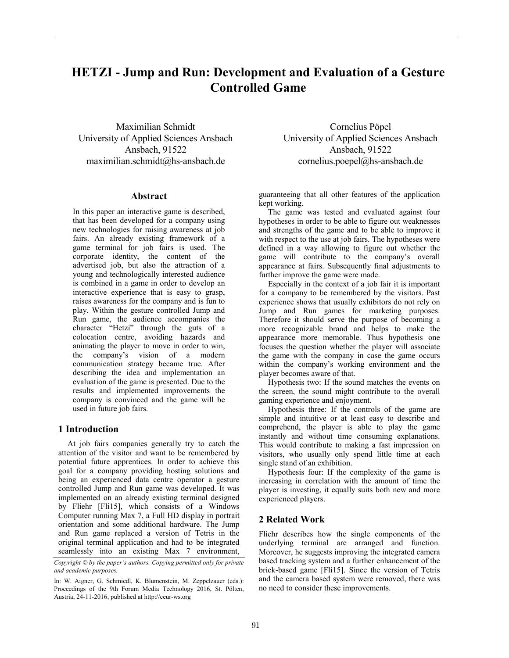# **HETZI - Jump and Run: Development and Evaluation of a Gesture Controlled Game**

Maximilian Schmidt University of Applied Sciences Ansbach Ansbach, 91522 maximilian.schmidt@hs-ansbach.de

# **Abstract**

In this paper an interactive game is described, that has been developed for a company using new technologies for raising awareness at job fairs. An already existing framework of a game terminal for job fairs is used. The corporate identity, the content of the advertised job, but also the attraction of a young and technologically interested audience is combined in a game in order to develop an interactive experience that is easy to grasp, raises awareness for the company and is fun to play. Within the gesture controlled Jump and Run game, the audience accompanies the character "Hetzi" through the guts of a colocation centre, avoiding hazards and animating the player to move in order to win, the company's vision of a modern communication strategy became true. After describing the idea and implementation an evaluation of the game is presented. Due to the results and implemented improvements the company is convinced and the game will be used in future job fairs.

## **1 Introduction**

At job fairs companies generally try to catch the attention of the visitor and want to be remembered by potential future apprentices. In order to achieve this goal for a company providing hosting solutions and being an experienced data centre operator a gesture controlled Jump and Run game was developed. It was implemented on an already existing terminal designed by Fliehr [Fli15], which consists of a Windows Computer running Max 7, a Full HD display in portrait orientation and some additional hardware. The Jump and Run game replaced a version of Tetris in the original terminal application and had to be integrated seamlessly into an existing Max 7 environment,

*Copyright © by the paper's authors. Copying permitted only for private and academic purposes.*

In: W. Aigner, G. Schmiedl, K. Blumenstein, M. Zeppelzauer (eds.): Proceedings of the 9th Forum Media Technology 2016, St. Pölten, Austria, 24-11-2016, published at http://ceur-ws.org

Cornelius Pöpel University of Applied Sciences Ansbach Ansbach, 91522 cornelius.poepel@hs-ansbach.de

guaranteeing that all other features of the application kept working.

The game was tested and evaluated against four hypotheses in order to be able to figure out weaknesses and strengths of the game and to be able to improve it with respect to the use at job fairs. The hypotheses were defined in a way allowing to figure out whether the game will contribute to the company's overall appearance at fairs. Subsequently final adjustments to further improve the game were made.

Especially in the context of a job fair it is important for a company to be remembered by the visitors. Past experience shows that usually exhibitors do not rely on Jump and Run games for marketing purposes. Therefore it should serve the purpose of becoming a more recognizable brand and helps to make the appearance more memorable. Thus hypothesis one focuses the question whether the player will associate the game with the company in case the game occurs within the company's working environment and the player becomes aware of that.

Hypothesis two: If the sound matches the events on the screen, the sound might contribute to the overall gaming experience and enjoyment.

Hypothesis three: If the controls of the game are simple and intuitive or at least easy to describe and comprehend, the player is able to play the game instantly and without time consuming explanations. This would contribute to making a fast impression on visitors, who usually only spend little time at each single stand of an exhibition.

Hypothesis four: If the complexity of the game is increasing in correlation with the amount of time the player is investing, it equally suits both new and more experienced players.

# **2 Related Work**

Fliehr describes how the single components of the underlying terminal are arranged and function. Moreover, he suggests improving the integrated camera based tracking system and a further enhancement of the brick-based game [Fli15]. Since the version of Tetris and the camera based system were removed, there was no need to consider these improvements.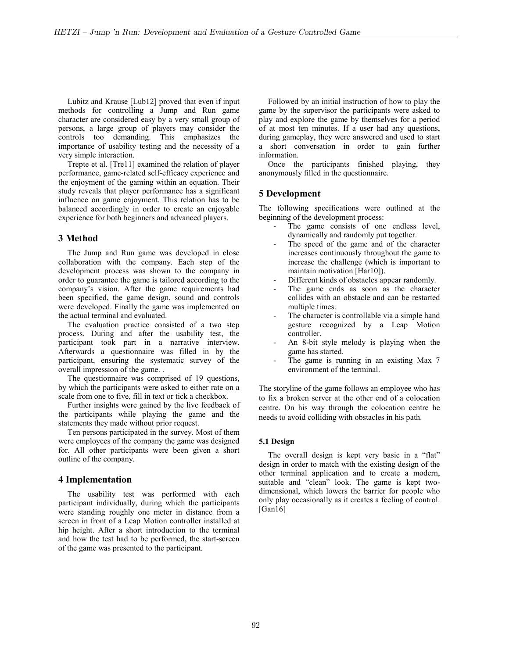Lubitz and Krause [Lub12] proved that even if input methods for controlling a Jump and Run game character are considered easy by a very small group of persons, a large group of players may consider the controls too demanding. This emphasizes the importance of usability testing and the necessity of a very simple interaction.

Trepte et al. [Tre11] examined the relation of player performance, game-related self-efficacy experience and the enjoyment of the gaming within an equation. Their study reveals that player performance has a significant influence on game enjoyment. This relation has to be balanced accordingly in order to create an enjoyable experience for both beginners and advanced players.

## **3 Method**

The Jump and Run game was developed in close collaboration with the company. Each step of the development process was shown to the company in order to guarantee the game is tailored according to the company's vision. After the game requirements had been specified, the game design, sound and controls were developed. Finally the game was implemented on the actual terminal and evaluated.

The evaluation practice consisted of a two step process. During and after the usability test, the participant took part in a narrative interview. Afterwards a questionnaire was filled in by the participant, ensuring the systematic survey of the overall impression of the game. .

The questionnaire was comprised of 19 questions, by which the participants were asked to either rate on a scale from one to five, fill in text or tick a checkbox.

Further insights were gained by the live feedback of the participants while playing the game and the statements they made without prior request.

Ten persons participated in the survey. Most of them were employees of the company the game was designed for. All other participants were been given a short outline of the company.

## **4 Implementation**

The usability test was performed with each participant individually, during which the participants were standing roughly one meter in distance from a screen in front of a Leap Motion controller installed at hip height. After a short introduction to the terminal and how the test had to be performed, the start-screen of the game was presented to the participant.

Followed by an initial instruction of how to play the game by the supervisor the participants were asked to play and explore the game by themselves for a period of at most ten minutes. If a user had any questions, during gameplay, they were answered and used to start a short conversation in order to gain further information.

Once the participants finished playing, they anonymously filled in the questionnaire.

## **5 Development**

The following specifications were outlined at the beginning of the development process:

- The game consists of one endless level, dynamically and randomly put together.
- The speed of the game and of the character increases continuously throughout the game to increase the challenge (which is important to maintain motivation [Har10]).
- Different kinds of obstacles appear randomly.
- The game ends as soon as the character collides with an obstacle and can be restarted multiple times.
- The character is controllable via a simple hand gesture recognized by a Leap Motion controller.
- An 8-bit style melody is playing when the game has started.
- The game is running in an existing Max 7 environment of the terminal.

The storyline of the game follows an employee who has to fix a broken server at the other end of a colocation centre. On his way through the colocation centre he needs to avoid colliding with obstacles in his path.

# **5.1 Design**

The overall design is kept very basic in a "flat" design in order to match with the existing design of the other terminal application and to create a modern, suitable and "clean" look. The game is kept twodimensional, which lowers the barrier for people who only play occasionally as it creates a feeling of control. [Gan16]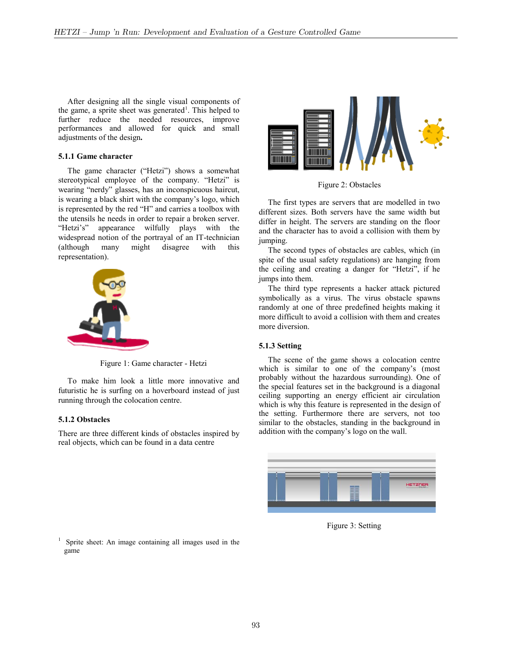After designing all the single visual components of the game, a sprite sheet was generated<sup>1</sup>. This helped to further reduce the needed resources, improve performances and allowed for quick and small adjustments of the design**.**

## **5.1.1 Game character**

The game character ("Hetzi") shows a somewhat stereotypical employee of the company. "Hetzi" is wearing "nerdy" glasses, has an inconspicuous haircut, is wearing a black shirt with the company's logo, which is represented by the red "H" and carries a toolbox with the utensils he needs in order to repair a broken server. "Hetzi's" appearance wilfully plays with the widespread notion of the portrayal of an IT-technician (although many might disagree with this representation).



Figure 1: Game character - Hetzi

To make him look a little more innovative and futuristic he is surfing on a hoverboard instead of just running through the colocation centre.

## **5.1.2 Obstacles**

There are three different kinds of obstacles inspired by real objects, which can be found in a data centre



Figure 2: Obstacles

The first types are servers that are modelled in two different sizes. Both servers have the same width but differ in height. The servers are standing on the floor and the character has to avoid a collision with them by jumping.

The second types of obstacles are cables, which (in spite of the usual safety regulations) are hanging from the ceiling and creating a danger for "Hetzi", if he jumps into them.

The third type represents a hacker attack pictured symbolically as a virus. The virus obstacle spawns randomly at one of three predefined heights making it more difficult to avoid a collision with them and creates more diversion.

#### **5.1.3 Setting**

The scene of the game shows a colocation centre which is similar to one of the company's (most probably without the hazardous surrounding). One of the special features set in the background is a diagonal ceiling supporting an energy efficient air circulation which is why this feature is represented in the design of the setting. Furthermore there are servers, not too similar to the obstacles, standing in the background in addition with the company's logo on the wall.



Figure 3: Setting

<sup>1</sup> Sprite sheet: An image containing all images used in the game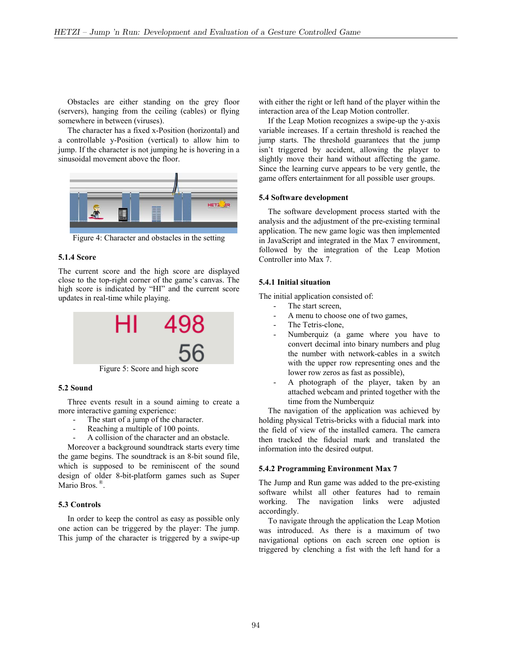Obstacles are either standing on the grey floor (servers), hanging from the ceiling (cables) or flying somewhere in between (viruses).

The character has a fixed x-Position (horizontal) and a controllable y-Position (vertical) to allow him to jump. If the character is not jumping he is hovering in a sinusoidal movement above the floor.



Figure 4: Character and obstacles in the setting

## **5.1.4 Score**

The current score and the high score are displayed close to the top-right corner of the game's canvas. The high score is indicated by "HI" and the current score updates in real-time while playing.



Figure 5: Score and high score

#### **5.2 Sound**

Three events result in a sound aiming to create a more interactive gaming experience:

- The start of a jump of the character.
- Reaching a multiple of 100 points.
- A collision of the character and an obstacle.

Moreover a background soundtrack starts every time the game begins. The soundtrack is an 8-bit sound file, which is supposed to be reminiscent of the sound design of older 8-bit-platform games such as Super Mario Bros.<sup>®</sup>.

## **5.3 Controls**

In order to keep the control as easy as possible only one action can be triggered by the player: The jump. This jump of the character is triggered by a swipe-up with either the right or left hand of the player within the interaction area of the Leap Motion controller.

If the Leap Motion recognizes a swipe-up the y-axis variable increases. If a certain threshold is reached the jump starts. The threshold guarantees that the jump isn't triggered by accident, allowing the player to slightly move their hand without affecting the game. Since the learning curve appears to be very gentle, the game offers entertainment for all possible user groups.

#### **5.4 Software development**

The software development process started with the analysis and the adjustment of the pre-existing terminal application. The new game logic was then implemented in JavaScript and integrated in the Max 7 environment, followed by the integration of the Leap Motion Controller into Max 7.

## **5.4.1 Initial situation**

The initial application consisted of:

- The start screen,
- A menu to choose one of two games,
- The Tetris-clone,
- Numberquiz (a game where you have to convert decimal into binary numbers and plug the number with network-cables in a switch with the upper row representing ones and the lower row zeros as fast as possible),
- A photograph of the player, taken by an attached webcam and printed together with the time from the Numberquiz

The navigation of the application was achieved by holding physical Tetris-bricks with a fiducial mark into the field of view of the installed camera. The camera then tracked the fiducial mark and translated the information into the desired output.

#### **5.4.2 Programming Environment Max 7**

The Jump and Run game was added to the pre-existing software whilst all other features had to remain working. The navigation links were adjusted accordingly.

To navigate through the application the Leap Motion was introduced. As there is a maximum of two navigational options on each screen one option is triggered by clenching a fist with the left hand for a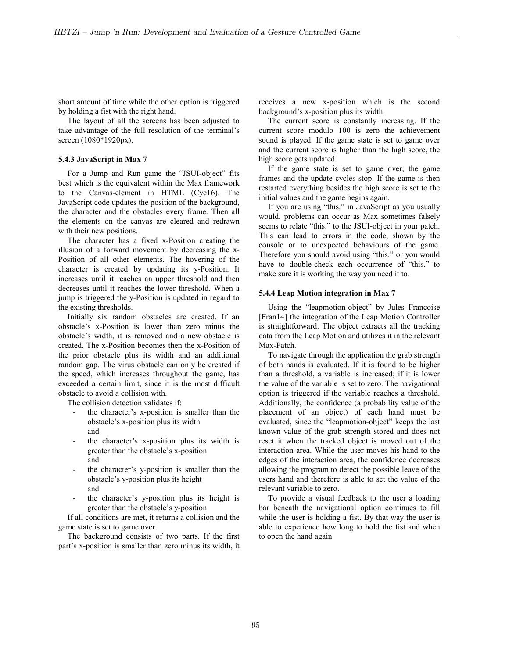short amount of time while the other option is triggered by holding a fist with the right hand.

The layout of all the screens has been adjusted to take advantage of the full resolution of the terminal's screen (1080\*1920px).

#### **5.4.3 JavaScript in Max 7**

For a Jump and Run game the "JSUI-object" fits best which is the equivalent within the Max framework to the Canvas-element in HTML (Cyc16). The JavaScript code updates the position of the background, the character and the obstacles every frame. Then all the elements on the canvas are cleared and redrawn with their new positions.

The character has a fixed x-Position creating the illusion of a forward movement by decreasing the x-Position of all other elements. The hovering of the character is created by updating its y-Position. It increases until it reaches an upper threshold and then decreases until it reaches the lower threshold. When a jump is triggered the y-Position is updated in regard to the existing thresholds.

Initially six random obstacles are created. If an obstacle's x-Position is lower than zero minus the obstacle's width, it is removed and a new obstacle is created. The x-Position becomes then the x-Position of the prior obstacle plus its width and an additional random gap. The virus obstacle can only be created if the speed, which increases throughout the game, has exceeded a certain limit, since it is the most difficult obstacle to avoid a collision with.

The collision detection validates if:

- the character's x-position is smaller than the obstacle's x-position plus its width and
- the character's x-position plus its width is greater than the obstacle's x-position and
- the character's y-position is smaller than the obstacle's y-position plus its height and
- the character's y-position plus its height is greater than the obstacle's y-position

If all conditions are met, it returns a collision and the game state is set to game over.

The background consists of two parts. If the first part's x-position is smaller than zero minus its width, it receives a new x-position which is the second background's x-position plus its width.

The current score is constantly increasing. If the current score modulo 100 is zero the achievement sound is played. If the game state is set to game over and the current score is higher than the high score, the high score gets updated.

If the game state is set to game over, the game frames and the update cycles stop. If the game is then restarted everything besides the high score is set to the initial values and the game begins again.

If you are using "this." in JavaScript as you usually would, problems can occur as Max sometimes falsely seems to relate "this." to the JSUI-object in your patch. This can lead to errors in the code, shown by the console or to unexpected behaviours of the game. Therefore you should avoid using "this." or you would have to double-check each occurrence of "this." to make sure it is working the way you need it to.

#### **5.4.4 Leap Motion integration in Max 7**

Using the "leapmotion-object" by Jules Francoise [Fran14] the integration of the Leap Motion Controller is straightforward. The object extracts all the tracking data from the Leap Motion and utilizes it in the relevant Max-Patch.

To navigate through the application the grab strength of both hands is evaluated. If it is found to be higher than a threshold, a variable is increased; if it is lower the value of the variable is set to zero. The navigational option is triggered if the variable reaches a threshold. Additionally, the confidence (a probability value of the placement of an object) of each hand must be evaluated, since the "leapmotion-object" keeps the last known value of the grab strength stored and does not reset it when the tracked object is moved out of the interaction area. While the user moves his hand to the edges of the interaction area, the confidence decreases allowing the program to detect the possible leave of the users hand and therefore is able to set the value of the relevant variable to zero.

To provide a visual feedback to the user a loading bar beneath the navigational option continues to fill while the user is holding a fist. By that way the user is able to experience how long to hold the fist and when to open the hand again.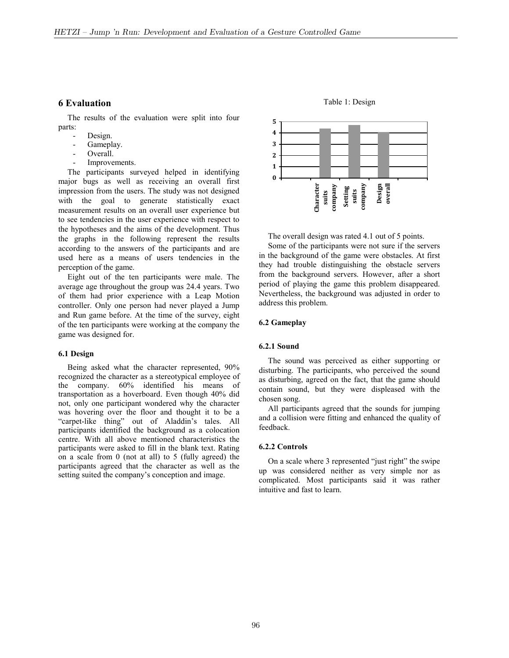## **6 Evaluation**

The results of the evaluation were split into four parts:

- Design.
- Gameplay.
- Overall.
- Improvements.

The participants surveyed helped in identifying major bugs as well as receiving an overall first impression from the users. The study was not designed with the goal to generate statistically exact measurement results on an overall user experience but to see tendencies in the user experience with respect to the hypotheses and the aims of the development. Thus the graphs in the following represent the results according to the answers of the participants and are used here as a means of users tendencies in the perception of the game.

Eight out of the ten participants were male. The average age throughout the group was 24.4 years. Two of them had prior experience with a Leap Motion controller. Only one person had never played a Jump and Run game before. At the time of the survey, eight of the ten participants were working at the company the game was designed for.

#### **6.1 Design**

Being asked what the character represented, 90% recognized the character as a stereotypical employee of the company. 60% identified his means of transportation as a hoverboard. Even though 40% did not, only one participant wondered why the character was hovering over the floor and thought it to be a "carpet-like thing" out of Aladdin's tales. All participants identified the background as a colocation centre. With all above mentioned characteristics the participants were asked to fill in the blank text. Rating on a scale from 0 (not at all) to 5 (fully agreed) the participants agreed that the character as well as the setting suited the company's conception and image.



Table 1: Design

The overall design was rated 4.1 out of 5 points.

Some of the participants were not sure if the servers in the background of the game were obstacles. At first they had trouble distinguishing the obstacle servers from the background servers. However, after a short period of playing the game this problem disappeared. Nevertheless, the background was adjusted in order to address this problem.

#### **6.2 Gameplay**

#### **6.2.1 Sound**

The sound was perceived as either supporting or disturbing. The participants, who perceived the sound as disturbing, agreed on the fact, that the game should contain sound, but they were displeased with the chosen song.

All participants agreed that the sounds for jumping and a collision were fitting and enhanced the quality of feedback.

#### **6.2.2 Controls**

On a scale where 3 represented "just right" the swipe up was considered neither as very simple nor as complicated. Most participants said it was rather intuitive and fast to learn.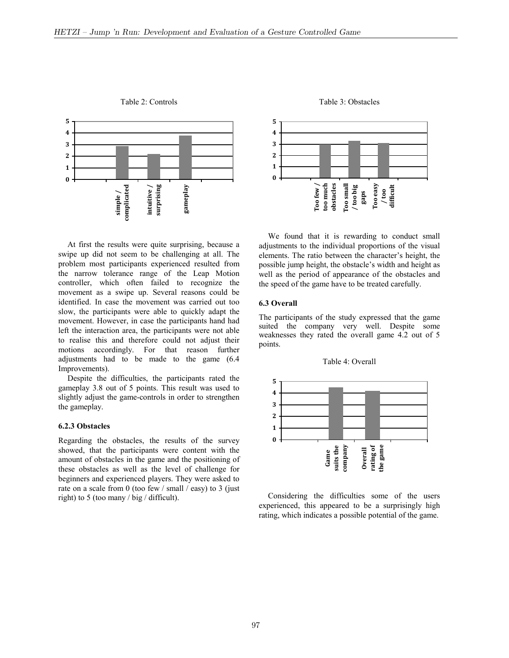

Table 2: Controls

At first the results were quite surprising, because a swipe up did not seem to be challenging at all. The problem most participants experienced resulted from the narrow tolerance range of the Leap Motion controller, which often failed to recognize the movement as a swipe up. Several reasons could be identified. In case the movement was carried out too slow, the participants were able to quickly adapt the movement. However, in case the participants hand had left the interaction area, the participants were not able to realise this and therefore could not adjust their motions accordingly. For that reason further adjustments had to be made to the game (6.4 Improvements).

Despite the difficulties, the participants rated the gameplay 3.8 out of 5 points. This result was used to slightly adjust the game-controls in order to strengthen the gameplay.

## **6.2.3 Obstacles**

Regarding the obstacles, the results of the survey showed, that the participants were content with the amount of obstacles in the game and the positioning of these obstacles as well as the level of challenge for beginners and experienced players. They were asked to rate on a scale from 0 (too few / small / easy) to 3 (just right) to 5 (too many / big / difficult).



Table 3: Obstacles

We found that it is rewarding to conduct small adjustments to the individual proportions of the visual elements. The ratio between the character's height, the possible jump height, the obstacle's width and height as well as the period of appearance of the obstacles and the speed of the game have to be treated carefully.

#### **6.3 Overall**

The participants of the study expressed that the game suited the company very well. Despite some weaknesses they rated the overall game 4.2 out of 5 points.



Considering the difficulties some of the users experienced, this appeared to be a surprisingly high rating, which indicates a possible potential of the game.

# Table 4: Overall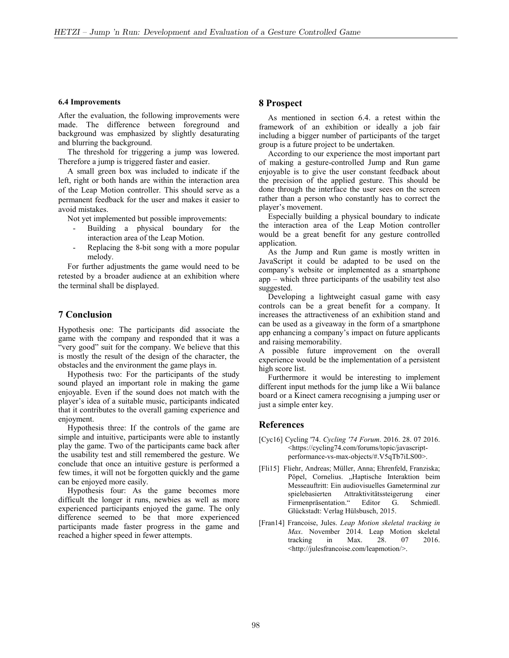#### **6.4 Improvements**

After the evaluation, the following improvements were made. The difference between foreground and background was emphasized by slightly desaturating and blurring the background.

The threshold for triggering a jump was lowered. Therefore a jump is triggered faster and easier.

A small green box was included to indicate if the left, right or both hands are within the interaction area of the Leap Motion controller. This should serve as a permanent feedback for the user and makes it easier to avoid mistakes.

Not yet implemented but possible improvements:

- Building a physical boundary for the interaction area of the Leap Motion.
- Replacing the 8-bit song with a more popular melody.

For further adjustments the game would need to be retested by a broader audience at an exhibition where the terminal shall be displayed.

# **7 Conclusion**

Hypothesis one: The participants did associate the game with the company and responded that it was a "very good" suit for the company. We believe that this is mostly the result of the design of the character, the obstacles and the environment the game plays in.

Hypothesis two: For the participants of the study sound played an important role in making the game enjoyable. Even if the sound does not match with the player's idea of a suitable music, participants indicated that it contributes to the overall gaming experience and enjoyment.

Hypothesis three: If the controls of the game are simple and intuitive, participants were able to instantly play the game. Two of the participants came back after the usability test and still remembered the gesture. We conclude that once an intuitive gesture is performed a few times, it will not be forgotten quickly and the game can be enjoyed more easily.

Hypothesis four: As the game becomes more difficult the longer it runs, newbies as well as more experienced participants enjoyed the game. The only difference seemed to be that more experienced participants made faster progress in the game and reached a higher speed in fewer attempts.

## **8 Prospect**

As mentioned in section 6.4. a retest within the framework of an exhibition or ideally a job fair including a bigger number of participants of the target group is a future project to be undertaken.

According to our experience the most important part of making a gesture-controlled Jump and Run game enjoyable is to give the user constant feedback about the precision of the applied gesture. This should be done through the interface the user sees on the screen rather than a person who constantly has to correct the player's movement.

Especially building a physical boundary to indicate the interaction area of the Leap Motion controller would be a great benefit for any gesture controlled application.

As the Jump and Run game is mostly written in JavaScript it could be adapted to be used on the company's website or implemented as a smartphone app – which three participants of the usability test also suggested.

Developing a lightweight casual game with easy controls can be a great benefit for a company. It increases the attractiveness of an exhibition stand and can be used as a giveaway in the form of a smartphone app enhancing a company's impact on future applicants and raising memorability.

A possible future improvement on the overall experience would be the implementation of a persistent high score list.

Furthermore it would be interesting to implement different input methods for the jump like a Wii balance board or a Kinect camera recognising a jumping user or just a simple enter key.

## **References**

- [Cyc16] Cycling '74. *Cycling '74 Forum*. 2016. 28. 07 2016. <https://cycling74.com/forums/topic/javascriptperformance-vs-max-objects/#.V5qTb7iLS00>.
- [Fli15] Fliehr, Andreas; Müller, Anna; Ehrenfeld, Franziska; Pöpel, Cornelius. "Haptische Interaktion beim Messeauftritt: Ein audiovisuelles Gameterminal zur spielebasierten Attraktivitätssteigerung einer Firmenpräsentation." Editor G. Schmiedl. Glückstadt: Verlag Hülsbusch, 2015.
- [Fran14] Francoise, Jules. *Leap Motion skeletal tracking in Max*. November 2014. Leap Motion skeletal tracking in Max. 28. 07 2016. <http://julesfrancoise.com/leapmotion/>.